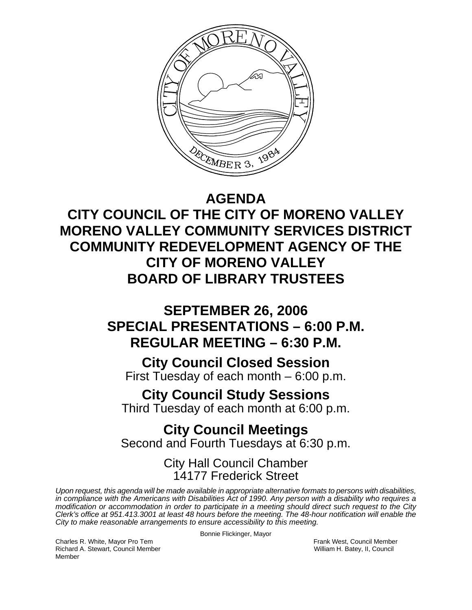

# **AGENDA**

**CITY COUNCIL OF THE CITY OF MORENO VALLEY MORENO VALLEY COMMUNITY SERVICES DISTRICT COMMUNITY REDEVELOPMENT AGENCY OF THE CITY OF MORENO VALLEY BOARD OF LIBRARY TRUSTEES** 

# **SEPTEMBER 26, 2006 SPECIAL PRESENTATIONS – 6:00 P.M. REGULAR MEETING – 6:30 P.M.**

# **City Council Closed Session**

First Tuesday of each month – 6:00 p.m.

# **City Council Study Sessions**

Third Tuesday of each month at 6:00 p.m.

# **City Council Meetings**  Second and Fourth Tuesdays at 6:30 p.m.

City Hall Council Chamber 14177 Frederick Street

*Upon request, this agenda will be made available in appropriate alternative formats to persons with disabilities, in compliance with the Americans with Disabilities Act of 1990. Any person with a disability who requires a modification or accommodation in order to participate in a meeting should direct such request to the City Clerk's office at 951.413.3001 at least 48 hours before the meeting. The 48-hour notification will enable the City to make reasonable arrangements to ensure accessibility to this meeting.* 

Bonnie Flickinger, Mayor

Charles R. White, Mayor Pro Tem Frank West, Council Member Richard A. Stewart, Council Member William H. Batey, II, Council Member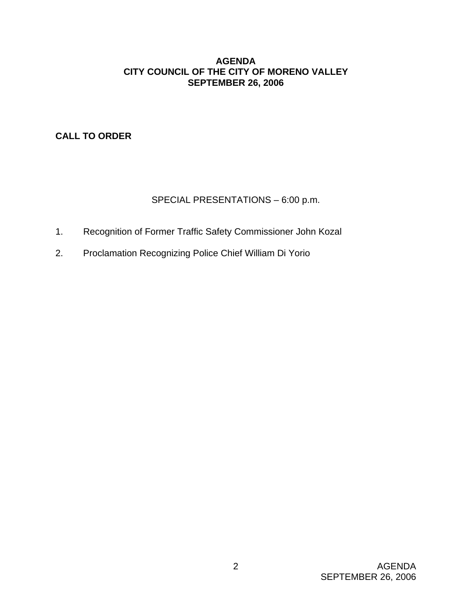# **AGENDA CITY COUNCIL OF THE CITY OF MORENO VALLEY SEPTEMBER 26, 2006**

**CALL TO ORDER**

# SPECIAL PRESENTATIONS – 6:00 p.m.

- 1. Recognition of Former Traffic Safety Commissioner John Kozal
- 2. Proclamation Recognizing Police Chief William Di Yorio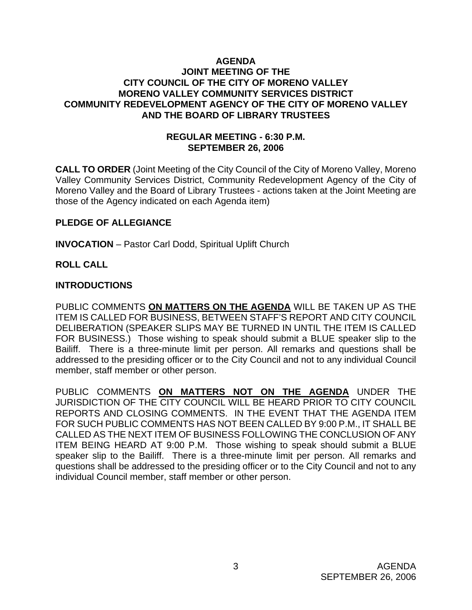# **AGENDA JOINT MEETING OF THE CITY COUNCIL OF THE CITY OF MORENO VALLEY MORENO VALLEY COMMUNITY SERVICES DISTRICT COMMUNITY REDEVELOPMENT AGENCY OF THE CITY OF MORENO VALLEY AND THE BOARD OF LIBRARY TRUSTEES**

#### **REGULAR MEETING - 6:30 P.M. SEPTEMBER 26, 2006**

**CALL TO ORDER** (Joint Meeting of the City Council of the City of Moreno Valley, Moreno Valley Community Services District, Community Redevelopment Agency of the City of Moreno Valley and the Board of Library Trustees - actions taken at the Joint Meeting are those of the Agency indicated on each Agenda item)

#### **PLEDGE OF ALLEGIANCE**

**INVOCATION** – Pastor Carl Dodd, Spiritual Uplift Church

# **ROLL CALL**

#### **INTRODUCTIONS**

PUBLIC COMMENTS **ON MATTERS ON THE AGENDA** WILL BE TAKEN UP AS THE ITEM IS CALLED FOR BUSINESS, BETWEEN STAFF'S REPORT AND CITY COUNCIL DELIBERATION (SPEAKER SLIPS MAY BE TURNED IN UNTIL THE ITEM IS CALLED FOR BUSINESS.) Those wishing to speak should submit a BLUE speaker slip to the Bailiff. There is a three-minute limit per person. All remarks and questions shall be addressed to the presiding officer or to the City Council and not to any individual Council member, staff member or other person.

PUBLIC COMMENTS **ON MATTERS NOT ON THE AGENDA** UNDER THE JURISDICTION OF THE CITY COUNCIL WILL BE HEARD PRIOR TO CITY COUNCIL REPORTS AND CLOSING COMMENTS. IN THE EVENT THAT THE AGENDA ITEM FOR SUCH PUBLIC COMMENTS HAS NOT BEEN CALLED BY 9:00 P.M., IT SHALL BE CALLED AS THE NEXT ITEM OF BUSINESS FOLLOWING THE CONCLUSION OF ANY ITEM BEING HEARD AT 9:00 P.M. Those wishing to speak should submit a BLUE speaker slip to the Bailiff. There is a three-minute limit per person. All remarks and questions shall be addressed to the presiding officer or to the City Council and not to any individual Council member, staff member or other person.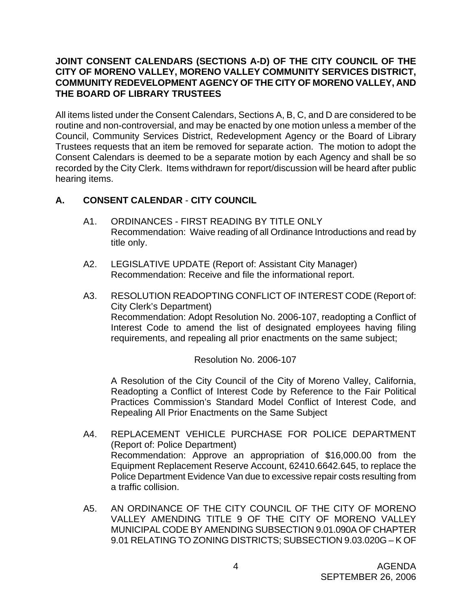# **JOINT CONSENT CALENDARS (SECTIONS A-D) OF THE CITY COUNCIL OF THE CITY OF MORENO VALLEY, MORENO VALLEY COMMUNITY SERVICES DISTRICT, COMMUNITY REDEVELOPMENT AGENCY OF THE CITY OF MORENO VALLEY, AND THE BOARD OF LIBRARY TRUSTEES**

All items listed under the Consent Calendars, Sections A, B, C, and D are considered to be routine and non-controversial, and may be enacted by one motion unless a member of the Council, Community Services District, Redevelopment Agency or the Board of Library Trustees requests that an item be removed for separate action. The motion to adopt the Consent Calendars is deemed to be a separate motion by each Agency and shall be so recorded by the City Clerk. Items withdrawn for report/discussion will be heard after public hearing items.

# **A. CONSENT CALENDAR** - **CITY COUNCIL**

- A1. ORDINANCES FIRST READING BY TITLE ONLY Recommendation: Waive reading of all Ordinance Introductions and read by title only.
- A2. LEGISLATIVE UPDATE (Report of: Assistant City Manager) Recommendation: Receive and file the informational report.
- A3. RESOLUTION READOPTING CONFLICT OF INTEREST CODE (Report of: City Clerk's Department) Recommendation: Adopt Resolution No. 2006-107, readopting a Conflict of Interest Code to amend the list of designated employees having filing requirements, and repealing all prior enactments on the same subject;

Resolution No. 2006-107

 A Resolution of the City Council of the City of Moreno Valley, California, Readopting a Conflict of Interest Code by Reference to the Fair Political Practices Commission's Standard Model Conflict of Interest Code, and Repealing All Prior Enactments on the Same Subject

- A4. REPLACEMENT VEHICLE PURCHASE FOR POLICE DEPARTMENT (Report of: Police Department) Recommendation: Approve an appropriation of \$16,000.00 from the Equipment Replacement Reserve Account, 62410.6642.645, to replace the Police Department Evidence Van due to excessive repair costs resulting from a traffic collision.
- A5. AN ORDINANCE OF THE CITY COUNCIL OF THE CITY OF MORENO VALLEY AMENDING TITLE 9 OF THE CITY OF MORENO VALLEY MUNICIPAL CODE BY AMENDING SUBSECTION 9.01.090A OF CHAPTER 9.01 RELATING TO ZONING DISTRICTS; SUBSECTION 9.03.020G – K OF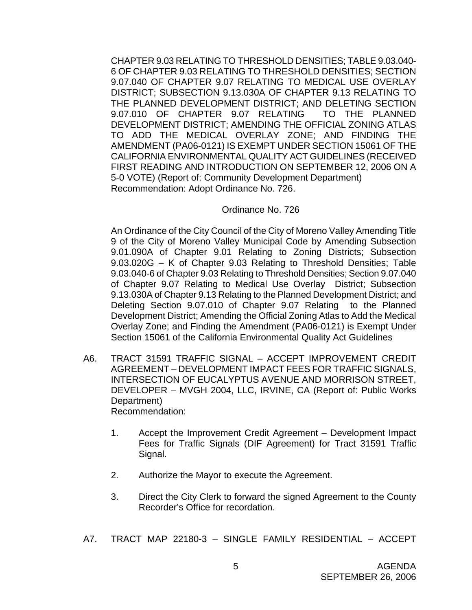CHAPTER 9.03 RELATING TO THRESHOLD DENSITIES; TABLE 9.03.040- 6 OF CHAPTER 9.03 RELATING TO THRESHOLD DENSITIES; SECTION 9.07.040 OF CHAPTER 9.07 RELATING TO MEDICAL USE OVERLAY DISTRICT; SUBSECTION 9.13.030A OF CHAPTER 9.13 RELATING TO THE PLANNED DEVELOPMENT DISTRICT; AND DELETING SECTION 9.07.010 OF CHAPTER 9.07 RELATING TO THE PLANNED DEVELOPMENT DISTRICT; AMENDING THE OFFICIAL ZONING ATLAS TO ADD THE MEDICAL OVERLAY ZONE; AND FINDING THE AMENDMENT (PA06-0121) IS EXEMPT UNDER SECTION 15061 OF THE CALIFORNIA ENVIRONMENTAL QUALITY ACT GUIDELINES (RECEIVED FIRST READING AND INTRODUCTION ON SEPTEMBER 12, 2006 ON A 5-0 VOTE) (Report of: Community Development Department) Recommendation: Adopt Ordinance No. 726.

#### Ordinance No. 726

 An Ordinance of the City Council of the City of Moreno Valley Amending Title 9 of the City of Moreno Valley Municipal Code by Amending Subsection 9.01.090A of Chapter 9.01 Relating to Zoning Districts; Subsection 9.03.020G – K of Chapter 9.03 Relating to Threshold Densities; Table 9.03.040-6 of Chapter 9.03 Relating to Threshold Densities; Section 9.07.040 of Chapter 9.07 Relating to Medical Use Overlay District; Subsection 9.13.030A of Chapter 9.13 Relating to the Planned Development District; and Deleting Section 9.07.010 of Chapter 9.07 Relating to the Planned Development District; Amending the Official Zoning Atlas to Add the Medical Overlay Zone; and Finding the Amendment (PA06-0121) is Exempt Under Section 15061 of the California Environmental Quality Act Guidelines

- A6. TRACT 31591 TRAFFIC SIGNAL ACCEPT IMPROVEMENT CREDIT AGREEMENT – DEVELOPMENT IMPACT FEES FOR TRAFFIC SIGNALS, INTERSECTION OF EUCALYPTUS AVENUE AND MORRISON STREET, DEVELOPER – MVGH 2004, LLC, IRVINE, CA (Report of: Public Works Department) Recommendation:
	- 1. Accept the Improvement Credit Agreement Development Impact Fees for Traffic Signals (DIF Agreement) for Tract 31591 Traffic Signal.
	- 2. Authorize the Mayor to execute the Agreement.
	- 3. Direct the City Clerk to forward the signed Agreement to the County Recorder's Office for recordation.
- A7. TRACT MAP 22180-3 SINGLE FAMILY RESIDENTIAL ACCEPT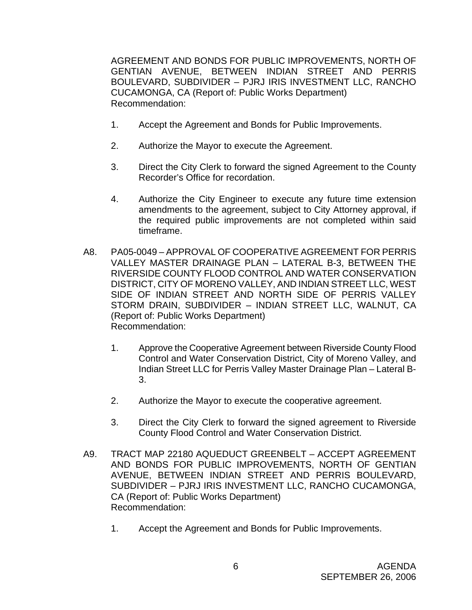AGREEMENT AND BONDS FOR PUBLIC IMPROVEMENTS, NORTH OF GENTIAN AVENUE, BETWEEN INDIAN STREET AND PERRIS BOULEVARD, SUBDIVIDER – PJRJ IRIS INVESTMENT LLC, RANCHO CUCAMONGA, CA (Report of: Public Works Department) Recommendation:

- 1. Accept the Agreement and Bonds for Public Improvements.
- 2. Authorize the Mayor to execute the Agreement.
- 3. Direct the City Clerk to forward the signed Agreement to the County Recorder's Office for recordation.
- 4. Authorize the City Engineer to execute any future time extension amendments to the agreement, subject to City Attorney approval, if the required public improvements are not completed within said timeframe.
- A8. PA05-0049 APPROVAL OF COOPERATIVE AGREEMENT FOR PERRIS VALLEY MASTER DRAINAGE PLAN – LATERAL B-3, BETWEEN THE RIVERSIDE COUNTY FLOOD CONTROL AND WATER CONSERVATION DISTRICT, CITY OF MORENO VALLEY, AND INDIAN STREET LLC, WEST SIDE OF INDIAN STREET AND NORTH SIDE OF PERRIS VALLEY STORM DRAIN, SUBDIVIDER – INDIAN STREET LLC, WALNUT, CA (Report of: Public Works Department) Recommendation:
	- 1. Approve the Cooperative Agreement between Riverside County Flood Control and Water Conservation District, City of Moreno Valley, and Indian Street LLC for Perris Valley Master Drainage Plan – Lateral B-3.
	- 2. Authorize the Mayor to execute the cooperative agreement.
	- 3. Direct the City Clerk to forward the signed agreement to Riverside County Flood Control and Water Conservation District.
- A9. TRACT MAP 22180 AQUEDUCT GREENBELT ACCEPT AGREEMENT AND BONDS FOR PUBLIC IMPROVEMENTS, NORTH OF GENTIAN AVENUE, BETWEEN INDIAN STREET AND PERRIS BOULEVARD, SUBDIVIDER – PJRJ IRIS INVESTMENT LLC, RANCHO CUCAMONGA, CA (Report of: Public Works Department) Recommendation:
	- 1. Accept the Agreement and Bonds for Public Improvements.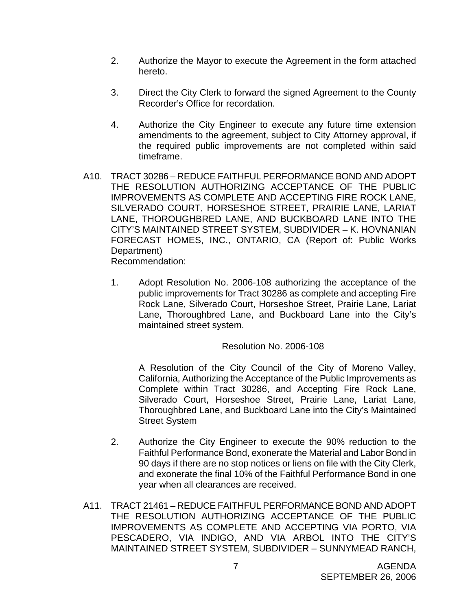- 2. Authorize the Mayor to execute the Agreement in the form attached hereto.
- 3. Direct the City Clerk to forward the signed Agreement to the County Recorder's Office for recordation.
- 4. Authorize the City Engineer to execute any future time extension amendments to the agreement, subject to City Attorney approval, if the required public improvements are not completed within said timeframe.
- A10. TRACT 30286 REDUCE FAITHFUL PERFORMANCE BOND AND ADOPT THE RESOLUTION AUTHORIZING ACCEPTANCE OF THE PUBLIC IMPROVEMENTS AS COMPLETE AND ACCEPTING FIRE ROCK LANE, SILVERADO COURT, HORSESHOE STREET, PRAIRIE LANE, LARIAT LANE, THOROUGHBRED LANE, AND BUCKBOARD LANE INTO THE CITY'S MAINTAINED STREET SYSTEM, SUBDIVIDER – K. HOVNANIAN FORECAST HOMES, INC., ONTARIO, CA (Report of: Public Works Department)

Recommendation:

 1. Adopt Resolution No. 2006-108 authorizing the acceptance of the public improvements for Tract 30286 as complete and accepting Fire Rock Lane, Silverado Court, Horseshoe Street, Prairie Lane, Lariat Lane, Thoroughbred Lane, and Buckboard Lane into the City's maintained street system.

#### Resolution No. 2006-108

 A Resolution of the City Council of the City of Moreno Valley, California, Authorizing the Acceptance of the Public Improvements as Complete within Tract 30286, and Accepting Fire Rock Lane, Silverado Court, Horseshoe Street, Prairie Lane, Lariat Lane, Thoroughbred Lane, and Buckboard Lane into the City's Maintained Street System

- 2. Authorize the City Engineer to execute the 90% reduction to the Faithful Performance Bond, exonerate the Material and Labor Bond in 90 days if there are no stop notices or liens on file with the City Clerk, and exonerate the final 10% of the Faithful Performance Bond in one year when all clearances are received.
- A11. TRACT 21461 REDUCE FAITHFUL PERFORMANCE BOND AND ADOPT THE RESOLUTION AUTHORIZING ACCEPTANCE OF THE PUBLIC IMPROVEMENTS AS COMPLETE AND ACCEPTING VIA PORTO, VIA PESCADERO, VIA INDIGO, AND VIA ARBOL INTO THE CITY'S MAINTAINED STREET SYSTEM, SUBDIVIDER – SUNNYMEAD RANCH,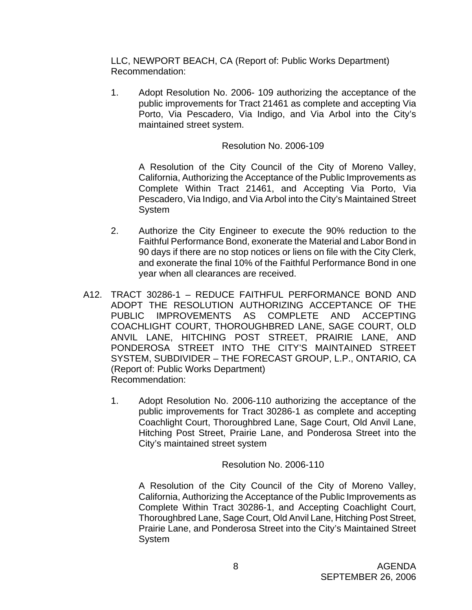LLC, NEWPORT BEACH, CA (Report of: Public Works Department) Recommendation:

 1. Adopt Resolution No. 2006- 109 authorizing the acceptance of the public improvements for Tract 21461 as complete and accepting Via Porto, Via Pescadero, Via Indigo, and Via Arbol into the City's maintained street system.

# Resolution No. 2006-109

 A Resolution of the City Council of the City of Moreno Valley, California, Authorizing the Acceptance of the Public Improvements as Complete Within Tract 21461, and Accepting Via Porto, Via Pescadero, Via Indigo, and Via Arbol into the City's Maintained Street **System** 

- 2. Authorize the City Engineer to execute the 90% reduction to the Faithful Performance Bond, exonerate the Material and Labor Bond in 90 days if there are no stop notices or liens on file with the City Clerk, and exonerate the final 10% of the Faithful Performance Bond in one year when all clearances are received.
- A12. TRACT 30286-1 REDUCE FAITHFUL PERFORMANCE BOND AND ADOPT THE RESOLUTION AUTHORIZING ACCEPTANCE OF THE PUBLIC IMPROVEMENTS AS COMPLETE AND ACCEPTING COACHLIGHT COURT, THOROUGHBRED LANE, SAGE COURT, OLD ANVIL LANE, HITCHING POST STREET, PRAIRIE LANE, AND PONDEROSA STREET INTO THE CITY'S MAINTAINED STREET SYSTEM, SUBDIVIDER – THE FORECAST GROUP, L.P., ONTARIO, CA (Report of: Public Works Department) Recommendation:
	- 1. Adopt Resolution No. 2006-110 authorizing the acceptance of the public improvements for Tract 30286-1 as complete and accepting Coachlight Court, Thoroughbred Lane, Sage Court, Old Anvil Lane, Hitching Post Street, Prairie Lane, and Ponderosa Street into the City's maintained street system

Resolution No. 2006-110

 A Resolution of the City Council of the City of Moreno Valley, California, Authorizing the Acceptance of the Public Improvements as Complete Within Tract 30286-1, and Accepting Coachlight Court, Thoroughbred Lane, Sage Court, Old Anvil Lane, Hitching Post Street, Prairie Lane, and Ponderosa Street into the City's Maintained Street System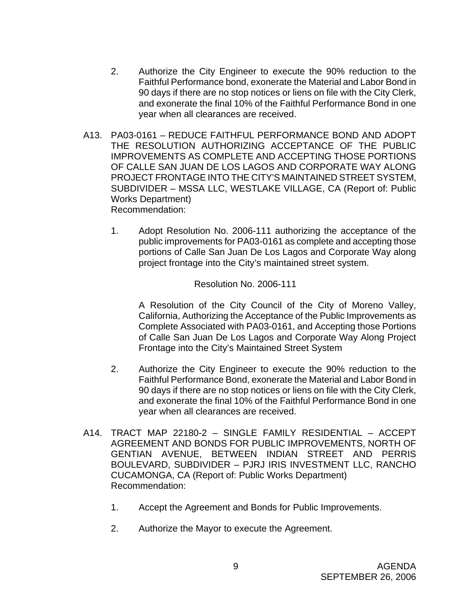- 2. Authorize the City Engineer to execute the 90% reduction to the Faithful Performance bond, exonerate the Material and Labor Bond in 90 days if there are no stop notices or liens on file with the City Clerk, and exonerate the final 10% of the Faithful Performance Bond in one year when all clearances are received.
- A13. PA03-0161 REDUCE FAITHFUL PERFORMANCE BOND AND ADOPT THE RESOLUTION AUTHORIZING ACCEPTANCE OF THE PUBLIC IMPROVEMENTS AS COMPLETE AND ACCEPTING THOSE PORTIONS OF CALLE SAN JUAN DE LOS LAGOS AND CORPORATE WAY ALONG PROJECT FRONTAGE INTO THE CITY'S MAINTAINED STREET SYSTEM, SUBDIVIDER – MSSA LLC, WESTLAKE VILLAGE, CA (Report of: Public Works Department) Recommendation:
	- 1. Adopt Resolution No. 2006-111 authorizing the acceptance of the public improvements for PA03-0161 as complete and accepting those portions of Calle San Juan De Los Lagos and Corporate Way along project frontage into the City's maintained street system.

#### Resolution No. 2006-111

 A Resolution of the City Council of the City of Moreno Valley, California, Authorizing the Acceptance of the Public Improvements as Complete Associated with PA03-0161, and Accepting those Portions of Calle San Juan De Los Lagos and Corporate Way Along Project Frontage into the City's Maintained Street System

- 2. Authorize the City Engineer to execute the 90% reduction to the Faithful Performance Bond, exonerate the Material and Labor Bond in 90 days if there are no stop notices or liens on file with the City Clerk, and exonerate the final 10% of the Faithful Performance Bond in one year when all clearances are received.
- A14. TRACT MAP 22180-2 SINGLE FAMILY RESIDENTIAL ACCEPT AGREEMENT AND BONDS FOR PUBLIC IMPROVEMENTS, NORTH OF GENTIAN AVENUE, BETWEEN INDIAN STREET AND PERRIS BOULEVARD, SUBDIVIDER – PJRJ IRIS INVESTMENT LLC, RANCHO CUCAMONGA, CA (Report of: Public Works Department) Recommendation:
	- 1. Accept the Agreement and Bonds for Public Improvements.
	- 2. Authorize the Mayor to execute the Agreement.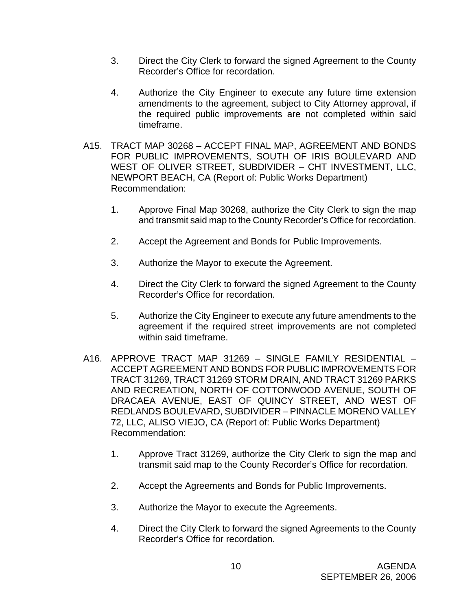- 3. Direct the City Clerk to forward the signed Agreement to the County Recorder's Office for recordation.
- 4. Authorize the City Engineer to execute any future time extension amendments to the agreement, subject to City Attorney approval, if the required public improvements are not completed within said timeframe.
- A15. TRACT MAP 30268 ACCEPT FINAL MAP, AGREEMENT AND BONDS FOR PUBLIC IMPROVEMENTS, SOUTH OF IRIS BOULEVARD AND WEST OF OLIVER STREET, SUBDIVIDER – CHT INVESTMENT, LLC, NEWPORT BEACH, CA (Report of: Public Works Department) Recommendation:
	- 1. Approve Final Map 30268, authorize the City Clerk to sign the map and transmit said map to the County Recorder's Office for recordation.
	- 2. Accept the Agreement and Bonds for Public Improvements.
	- 3. Authorize the Mayor to execute the Agreement.
	- 4. Direct the City Clerk to forward the signed Agreement to the County Recorder's Office for recordation.
	- 5. Authorize the City Engineer to execute any future amendments to the agreement if the required street improvements are not completed within said timeframe.
- A16. APPROVE TRACT MAP 31269 SINGLE FAMILY RESIDENTIAL ACCEPT AGREEMENT AND BONDS FOR PUBLIC IMPROVEMENTS FOR TRACT 31269, TRACT 31269 STORM DRAIN, AND TRACT 31269 PARKS AND RECREATION, NORTH OF COTTONWOOD AVENUE, SOUTH OF DRACAEA AVENUE, EAST OF QUINCY STREET, AND WEST OF REDLANDS BOULEVARD, SUBDIVIDER – PINNACLE MORENO VALLEY 72, LLC, ALISO VIEJO, CA (Report of: Public Works Department) Recommendation:
	- 1. Approve Tract 31269, authorize the City Clerk to sign the map and transmit said map to the County Recorder's Office for recordation.
	- 2. Accept the Agreements and Bonds for Public Improvements.
	- 3. Authorize the Mayor to execute the Agreements.
	- 4. Direct the City Clerk to forward the signed Agreements to the County Recorder's Office for recordation.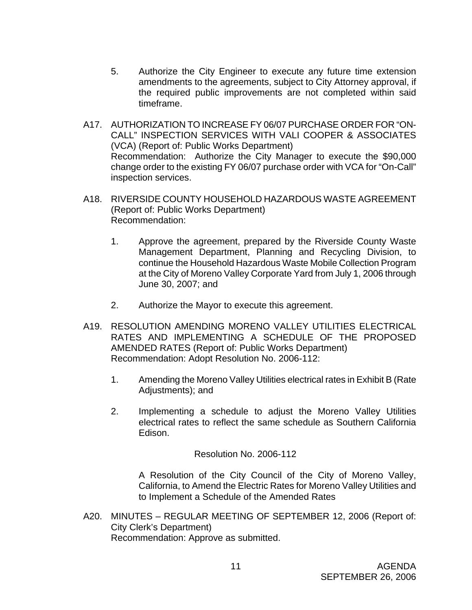- 5. Authorize the City Engineer to execute any future time extension amendments to the agreements, subject to City Attorney approval, if the required public improvements are not completed within said timeframe.
- A17. AUTHORIZATION TO INCREASE FY 06/07 PURCHASE ORDER FOR "ON-CALL" INSPECTION SERVICES WITH VALI COOPER & ASSOCIATES (VCA) (Report of: Public Works Department) Recommendation: Authorize the City Manager to execute the \$90,000 change order to the existing FY 06/07 purchase order with VCA for "On-Call" inspection services.
- A18. RIVERSIDE COUNTY HOUSEHOLD HAZARDOUS WASTE AGREEMENT (Report of: Public Works Department) Recommendation:
	- 1. Approve the agreement, prepared by the Riverside County Waste Management Department, Planning and Recycling Division, to continue the Household Hazardous Waste Mobile Collection Program at the City of Moreno Valley Corporate Yard from July 1, 2006 through June 30, 2007; and
	- 2. Authorize the Mayor to execute this agreement.
- A19. RESOLUTION AMENDING MORENO VALLEY UTILITIES ELECTRICAL RATES AND IMPLEMENTING A SCHEDULE OF THE PROPOSED AMENDED RATES (Report of: Public Works Department) Recommendation: Adopt Resolution No. 2006-112:
	- 1. Amending the Moreno Valley Utilities electrical rates in Exhibit B (Rate Adjustments); and
	- 2. Implementing a schedule to adjust the Moreno Valley Utilities electrical rates to reflect the same schedule as Southern California Edison.

Resolution No. 2006-112

 A Resolution of the City Council of the City of Moreno Valley, California, to Amend the Electric Rates for Moreno Valley Utilities and to Implement a Schedule of the Amended Rates

A20. MINUTES – REGULAR MEETING OF SEPTEMBER 12, 2006 (Report of: City Clerk's Department) Recommendation: Approve as submitted.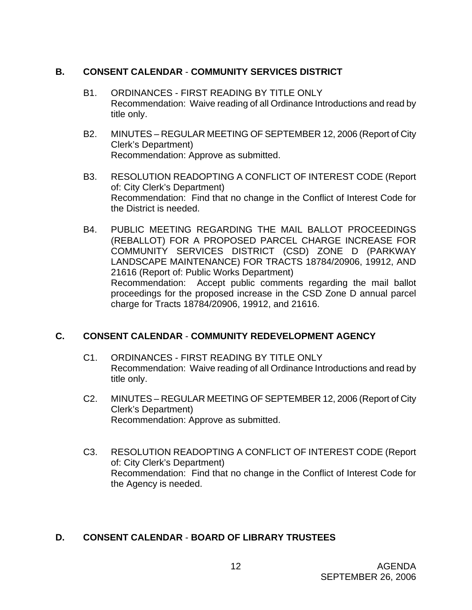# **B. CONSENT CALENDAR** - **COMMUNITY SERVICES DISTRICT**

- B1. ORDINANCES FIRST READING BY TITLE ONLY Recommendation: Waive reading of all Ordinance Introductions and read by title only.
- B2. MINUTES REGULAR MEETING OF SEPTEMBER 12, 2006 (Report of City Clerk's Department) Recommendation: Approve as submitted.
- B3. RESOLUTION READOPTING A CONFLICT OF INTEREST CODE (Report of: City Clerk's Department) Recommendation: Find that no change in the Conflict of Interest Code for the District is needed.
- B4. PUBLIC MEETING REGARDING THE MAIL BALLOT PROCEEDINGS (REBALLOT) FOR A PROPOSED PARCEL CHARGE INCREASE FOR COMMUNITY SERVICES DISTRICT (CSD) ZONE D (PARKWAY LANDSCAPE MAINTENANCE) FOR TRACTS 18784/20906, 19912, AND 21616 (Report of: Public Works Department) Recommendation: Accept public comments regarding the mail ballot proceedings for the proposed increase in the CSD Zone D annual parcel charge for Tracts 18784/20906, 19912, and 21616.

# **C. CONSENT CALENDAR** - **COMMUNITY REDEVELOPMENT AGENCY**

- C1. ORDINANCES FIRST READING BY TITLE ONLY Recommendation: Waive reading of all Ordinance Introductions and read by title only.
- C2. MINUTES REGULAR MEETING OF SEPTEMBER 12, 2006 (Report of City Clerk's Department) Recommendation: Approve as submitted.
- C3. RESOLUTION READOPTING A CONFLICT OF INTEREST CODE (Report of: City Clerk's Department) Recommendation: Find that no change in the Conflict of Interest Code for the Agency is needed.

# **D. CONSENT CALENDAR** - **BOARD OF LIBRARY TRUSTEES**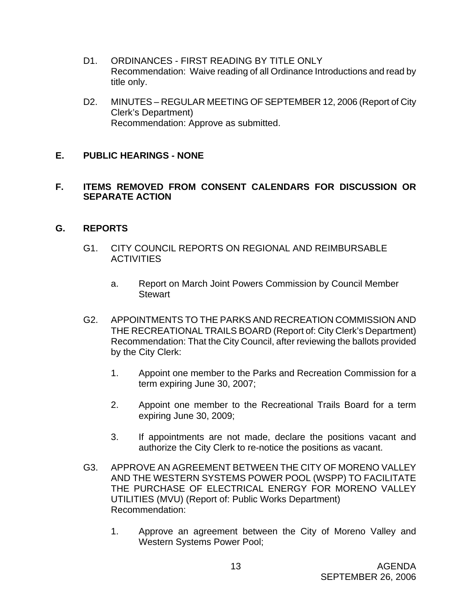- D1. ORDINANCES FIRST READING BY TITLE ONLY Recommendation: Waive reading of all Ordinance Introductions and read by title only.
- D2. MINUTES REGULAR MEETING OF SEPTEMBER 12, 2006 (Report of City Clerk's Department) Recommendation: Approve as submitted.

# **E. PUBLIC HEARINGS - NONE**

#### **F. ITEMS REMOVED FROM CONSENT CALENDARS FOR DISCUSSION OR SEPARATE ACTION**

#### **G. REPORTS**

- G1. CITY COUNCIL REPORTS ON REGIONAL AND REIMBURSABLE **ACTIVITIES** 
	- a. Report on March Joint Powers Commission by Council Member **Stewart**
- G2. APPOINTMENTS TO THE PARKS AND RECREATION COMMISSION AND THE RECREATIONAL TRAILS BOARD (Report of: City Clerk's Department) Recommendation: That the City Council, after reviewing the ballots provided by the City Clerk:
	- 1. Appoint one member to the Parks and Recreation Commission for a term expiring June 30, 2007;
	- 2. Appoint one member to the Recreational Trails Board for a term expiring June 30, 2009;
	- 3. If appointments are not made, declare the positions vacant and authorize the City Clerk to re-notice the positions as vacant.
- G3. APPROVE AN AGREEMENT BETWEEN THE CITY OF MORENO VALLEY AND THE WESTERN SYSTEMS POWER POOL (WSPP) TO FACILITATE THE PURCHASE OF ELECTRICAL ENERGY FOR MORENO VALLEY UTILITIES (MVU) (Report of: Public Works Department) Recommendation:
	- 1. Approve an agreement between the City of Moreno Valley and Western Systems Power Pool;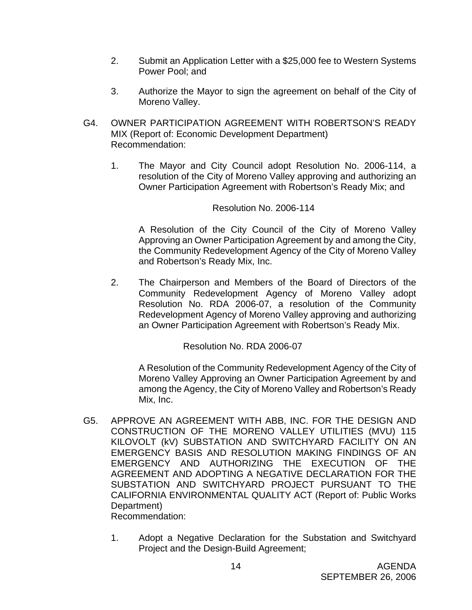- 2. Submit an Application Letter with a \$25,000 fee to Western Systems Power Pool; and
- 3. Authorize the Mayor to sign the agreement on behalf of the City of Moreno Valley.
- G4. OWNER PARTICIPATION AGREEMENT WITH ROBERTSON'S READY MIX (Report of: Economic Development Department) Recommendation:
	- 1. The Mayor and City Council adopt Resolution No. 2006-114, a resolution of the City of Moreno Valley approving and authorizing an Owner Participation Agreement with Robertson's Ready Mix; and

#### Resolution No. 2006-114

A Resolution of the City Council of the City of Moreno Valley Approving an Owner Participation Agreement by and among the City, the Community Redevelopment Agency of the City of Moreno Valley and Robertson's Ready Mix, Inc.

2. The Chairperson and Members of the Board of Directors of the Community Redevelopment Agency of Moreno Valley adopt Resolution No. RDA 2006-07, a resolution of the Community Redevelopment Agency of Moreno Valley approving and authorizing an Owner Participation Agreement with Robertson's Ready Mix.

Resolution No. RDA 2006-07

A Resolution of the Community Redevelopment Agency of the City of Moreno Valley Approving an Owner Participation Agreement by and among the Agency, the City of Moreno Valley and Robertson's Ready Mix, Inc.

- G5. APPROVE AN AGREEMENT WITH ABB, INC. FOR THE DESIGN AND CONSTRUCTION OF THE MORENO VALLEY UTILITIES (MVU) 115 KILOVOLT (kV) SUBSTATION AND SWITCHYARD FACILITY ON AN EMERGENCY BASIS AND RESOLUTION MAKING FINDINGS OF AN EMERGENCY AND AUTHORIZING THE EXECUTION OF THE AGREEMENT AND ADOPTING A NEGATIVE DECLARATION FOR THE SUBSTATION AND SWITCHYARD PROJECT PURSUANT TO THE CALIFORNIA ENVIRONMENTAL QUALITY ACT (Report of: Public Works Department) Recommendation:
	- 1. Adopt a Negative Declaration for the Substation and Switchyard Project and the Design-Build Agreement;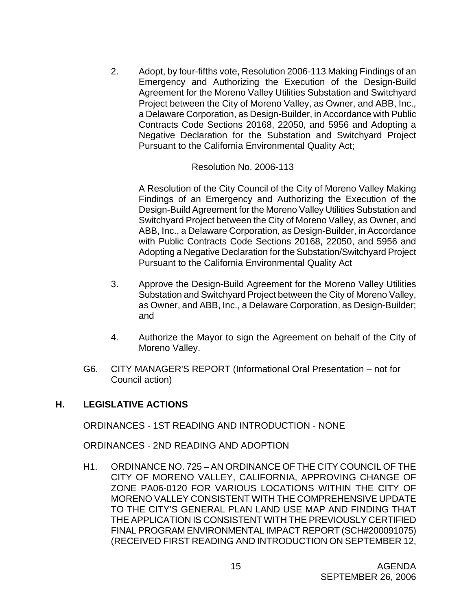2. Adopt, by four-fifths vote, Resolution 2006-113 Making Findings of an Emergency and Authorizing the Execution of the Design-Build Agreement for the Moreno Valley Utilities Substation and Switchyard Project between the City of Moreno Valley, as Owner, and ABB, Inc., a Delaware Corporation, as Design-Builder, in Accordance with Public Contracts Code Sections 20168, 22050, and 5956 and Adopting a Negative Declaration for the Substation and Switchyard Project Pursuant to the California Environmental Quality Act;

#### Resolution No. 2006-113

A Resolution of the City Council of the City of Moreno Valley Making Findings of an Emergency and Authorizing the Execution of the Design-Build Agreement for the Moreno Valley Utilities Substation and Switchyard Project between the City of Moreno Valley, as Owner, and ABB, Inc., a Delaware Corporation, as Design-Builder, in Accordance with Public Contracts Code Sections 20168, 22050, and 5956 and Adopting a Negative Declaration for the Substation/Switchyard Project Pursuant to the California Environmental Quality Act

- 3. Approve the Design-Build Agreement for the Moreno Valley Utilities Substation and Switchyard Project between the City of Moreno Valley, as Owner, and ABB, Inc., a Delaware Corporation, as Design-Builder; and
- 4. Authorize the Mayor to sign the Agreement on behalf of the City of Moreno Valley.
- G6. CITY MANAGER'S REPORT (Informational Oral Presentation not for Council action)

#### **H. LEGISLATIVE ACTIONS**

ORDINANCES - 1ST READING AND INTRODUCTION - NONE

ORDINANCES - 2ND READING AND ADOPTION

 H1. ORDINANCE NO. 725 – AN ORDINANCE OF THE CITY COUNCIL OF THE CITY OF MORENO VALLEY, CALIFORNIA, APPROVING CHANGE OF ZONE PA06-0120 FOR VARIOUS LOCATIONS WITHIN THE CITY OF MORENO VALLEY CONSISTENT WITH THE COMPREHENSIVE UPDATE TO THE CITY'S GENERAL PLAN LAND USE MAP AND FINDING THAT THE APPLICATION IS CONSISTENT WITH THE PREVIOUSLY CERTIFIED FINAL PROGRAM ENVIRONMENTAL IMPACT REPORT (SCH#200091075) (RECEIVED FIRST READING AND INTRODUCTION ON SEPTEMBER 12,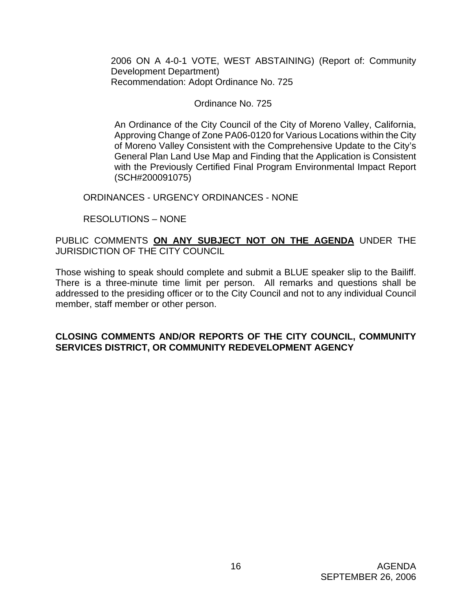2006 ON A 4-0-1 VOTE, WEST ABSTAINING) (Report of: Community Development Department) Recommendation: Adopt Ordinance No. 725

#### Ordinance No. 725

An Ordinance of the City Council of the City of Moreno Valley, California, Approving Change of Zone PA06-0120 for Various Locations within the City of Moreno Valley Consistent with the Comprehensive Update to the City's General Plan Land Use Map and Finding that the Application is Consistent with the Previously Certified Final Program Environmental Impact Report (SCH#200091075)

ORDINANCES - URGENCY ORDINANCES - NONE

RESOLUTIONS – NONE

# PUBLIC COMMENTS **ON ANY SUBJECT NOT ON THE AGENDA** UNDER THE JURISDICTION OF THE CITY COUNCIL

Those wishing to speak should complete and submit a BLUE speaker slip to the Bailiff. There is a three-minute time limit per person. All remarks and questions shall be addressed to the presiding officer or to the City Council and not to any individual Council member, staff member or other person.

# **CLOSING COMMENTS AND/OR REPORTS OF THE CITY COUNCIL, COMMUNITY SERVICES DISTRICT, OR COMMUNITY REDEVELOPMENT AGENCY**